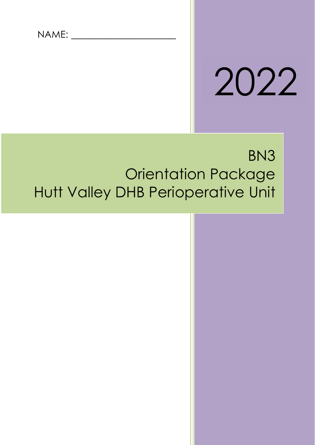NAME: \_\_\_\_\_\_\_\_\_\_\_\_\_\_\_\_\_\_

# 2022

# BN3 Orientation Package Hutt Valley DHB Perioperative Unit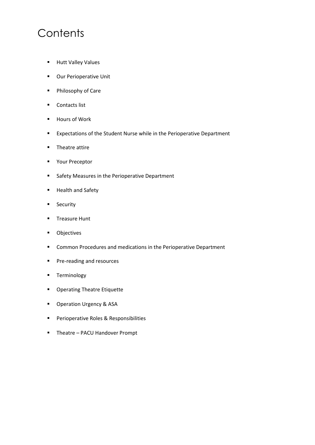## **Contents**

- **Hutt Valley Values**
- **Our Perioperative Unit**
- **Philosophy of Care**
- **Contacts list**
- Hours of Work
- **EXPECTERIOUS OF THE ST ST AUTE:** Expectations of the Student Nurse while in the Perioperative Department
- **Theatre attire**
- **•** Your Preceptor
- **Safety Measures in the Perioperative Department**
- **Health and Safety**
- **Security**
- **Treasure Hunt**
- **•** Objectives
- **E** Common Procedures and medications in the Perioperative Department
- **Pre-reading and resources**
- **-** Terminology
- **•** Operating Theatre Etiquette
- **Operation Urgency & ASA**
- **Perioperative Roles & Responsibilities**
- **F** Theatre PACU Handover Prompt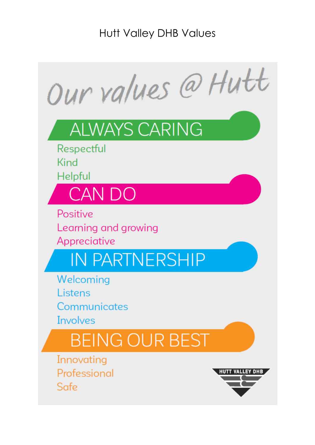Hutt Valley DHB Values

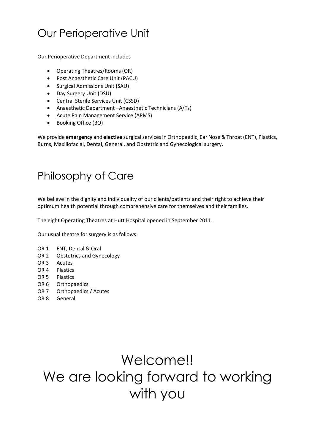## Our Perioperative Unit

Our Perioperative Department includes

- Operating Theatres/Rooms (OR)
- Post Anaesthetic Care Unit (PACU)
- Surgical Admissions Unit (SAU)
- Day Surgery Unit (DSU)
- Central Sterile Services Unit (CSSD)
- Anaesthetic Department –Anaesthetic Technicians (A/Ts)
- Acute Pain Management Service (APMS)
- Booking Office (BO)

We provide **emergency** and **elective** surgical services in Orthopaedic, Ear Nose & Throat (ENT), Plastics, Burns, Maxillofacial, Dental, General, and Obstetric and Gynecological surgery.

## Philosophy of Care

We believe in the dignity and individuality of our clients/patients and their right to achieve their optimum health potential through comprehensive care for themselves and their families.

The eight Operating Theatres at Hutt Hospital opened in September 2011.

Our usual theatre for surgery is as follows:

- OR 1 ENT, Dental & Oral
- OR 2 Obstetrics and Gynecology
- OR 3 Acutes
- OR 4 Plastics
- OR 5 Plastics
- OR 6 Orthopaedics
- OR 7 Orthopaedics / Acutes
- OR 8 General

## Welcome!! We are looking forward to working with you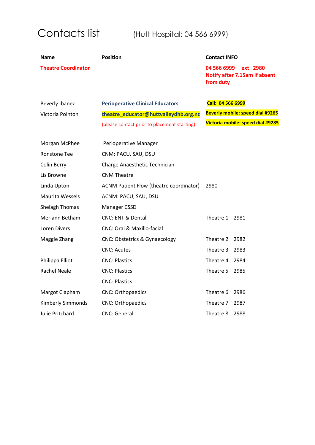## Contacts list (Hutt Hospital: 04 566 6999)

| <b>Name</b>                | <b>Position</b>                              | <b>Contact INFO</b>      |                                           |
|----------------------------|----------------------------------------------|--------------------------|-------------------------------------------|
| <b>Theatre Coordinator</b> |                                              | 04 566 6999<br>from duty | ext 2980<br>Notify after 7.15am if absent |
| Beverly Ibanez             | <b>Perioperative Clinical Educators</b>      | Call: 04 566 6999        |                                           |
| Victoria Pointon           | theatre_educator@huttvalleydhb.org.nz        |                          | <b>Beverly mobile: speed dial #9265</b>   |
|                            | (please contact prior to placement starting) |                          | Victoria mobile: speed dial #9285         |
| Morgan McPhee              | Perioperative Manager                        |                          |                                           |
| <b>Ronstone Tee</b>        | CNM: PACU, SAU, DSU                          |                          |                                           |
| Colin Berry                | Charge Anaesthetic Technician                |                          |                                           |
| Lis Browne                 | <b>CNM Theatre</b>                           |                          |                                           |
| Linda Upton                | ACNM Patient Flow (theatre coordinator)      | 2980                     |                                           |
| Maurita Wessels            | ACNM: PACU, SAU, DSU                         |                          |                                           |
| Shelagh Thomas             | Manager CSSD                                 |                          |                                           |
| Meriann Betham             | CNC: ENT & Dental                            | Theatre 1 2981           |                                           |
| Loren Divers               | <b>CNC: Oral &amp; Maxillo-facial</b>        |                          |                                           |
| Maggie Zhang               | <b>CNC: Obstetrics &amp; Gynaecology</b>     | Theatre 2 2982           |                                           |
|                            | <b>CNC: Acutes</b>                           | Theatre 3 2983           |                                           |
| Philippa Elliot            | <b>CNC: Plastics</b>                         | Theatre 4 2984           |                                           |
| <b>Rachel Neale</b>        | <b>CNC: Plastics</b>                         | Theatre 5                | 2985                                      |
|                            | <b>CNC: Plastics</b>                         |                          |                                           |
| Margot Clapham             | <b>CNC: Orthopaedics</b>                     | Theatre 6                | 2986                                      |
| <b>Kimberly Simmonds</b>   | <b>CNC: Orthopaedics</b>                     | Theatre 7                | 2987                                      |
| Julie Pritchard            | <b>CNC: General</b>                          | Theatre 8                | 2988                                      |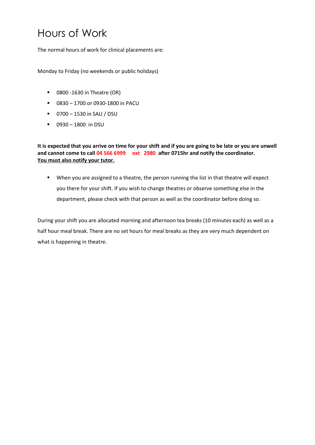## Hours of Work

The normal hours of work for clinical placements are:

Monday to Friday (no weekends or public holidays)

- **0800 -1630 in Theatre (OR)**
- 0830 1700 or 0930-1800 in PACU
- 0700 1530 in SAU / DSU
- 0930 1800 in DSU

**It is expected that you arrive on time for your shift and if you are going to be late or you are unwell and cannot come to call 04 566 6999 ext 2980 after 0715hr and notify the coordinator. You must also notify your tutor.**

 When you are assigned to a theatre, the person running the list in that theatre will expect you there for your shift. If you wish to change theatres or observe something else in the department, please check with that person as well as the coordinator before doing so.

During your shift you are allocated morning and afternoon tea breaks (10 minutes each) as well as a half hour meal break. There are no set hours for meal breaks as they are very much dependent on what is happening in theatre.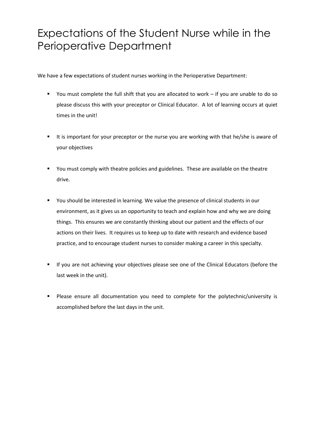## Expectations of the Student Nurse while in the Perioperative Department

We have a few expectations of student nurses working in the Perioperative Department:

- You must complete the full shift that you are allocated to work if you are unable to do so please discuss this with your preceptor or Clinical Educator. A lot of learning occurs at quiet times in the unit!
- It is important for your preceptor or the nurse you are working with that he/she is aware of your objectives
- **The Step and Step 1** You must comply with theatre policies and guidelines. These are available on the theatre drive.
- You should be interested in learning. We value the presence of clinical students in our environment, as it gives us an opportunity to teach and explain how and why we are doing things. This ensures we are constantly thinking about our patient and the effects of our actions on their lives. It requires us to keep up to date with research and evidence based practice, and to encourage student nurses to consider making a career in this specialty.
- If you are not achieving your objectives please see one of the Clinical Educators (before the last week in the unit).
- **Please ensure all documentation you need to complete for the polytechnic/university is** accomplished before the last days in the unit.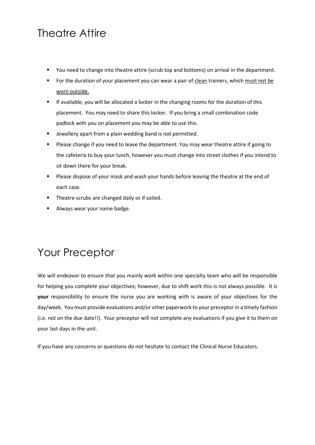#### Theatre Attire

- You need to change into theatre attire (scrub top and bottoms) on arrival in the department.
- For the duration of your placement you can wear a pair of clean trainers, which must not be worn outside.
- If available, you will be allocated a locker in the changing rooms for the duration of this placement. You may need to share this locker. If you bring a small combination code padlock with you on placement you may be able to use this.
- Jewellery apart from a plain wedding band is not permitted.
- **Please change if you need to leave the department. You may wear theatre attire if going to** the cafeteria to buy your lunch, however you must change into street clothes if you intend to sit down there for your break.
- **Please dispose of your mask and wash your hands before leaving the theatre at the end of** each case.
- **Theatre scrubs are changed daily or if soiled.**
- Always wear your name badge.

## Your Preceptor

We will endeavor to ensure that you mainly work within one specialty team who will be responsible for helping you complete your objectives; however, due to shift work this is not always possible. It is **your** responsibility to ensure the nurse you are working with is aware of your objectives for the day/week. You must provide evaluations and/or other paperwork to your preceptor in a timely fashion (i.e. not on the due date!!). Your preceptor will not complete any evaluations if you give it to them on your last days in the unit.

If you have any concerns or questions do not hesitate to contact the Clinical Nurse Educators.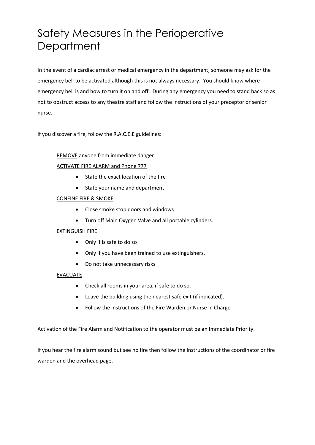## Safety Measures in the Perioperative **Department**

In the event of a cardiac arrest or medical emergency in the department, someone may ask for the emergency bell to be activated although this is not always necessary. You should know where emergency bell is and how to turn it on and off. During any emergency you need to stand back so as not to obstruct access to any theatre staff and follow the instructions of your preceptor or senior nurse.

If you discover a fire, follow the R.A.C.E.E guidelines:

#### REMOVE anyone from immediate danger

#### ACTIVATE FIRE ALARM and Phone 777

- State the exact location of the fire
- State your name and department

#### CONFINE FIRE & SMOKE

- Close smoke stop doors and windows
- Turn off Main Oxygen Valve and all portable cylinders.

#### EXTINGUISH FIRE

- Only if is safe to do so
- Only if you have been trained to use extinguishers.
- Do not take unnecessary risks

#### EVACUATE

- Check all rooms in your area, if safe to do so.
- Leave the building using the nearest safe exit (if indicated).
- Follow the instructions of the Fire Warden or Nurse in Charge

Activation of the Fire Alarm and Notification to the operator must be an Immediate Priority.

If you hear the fire alarm sound but see no fire then follow the instructions of the coordinator or fire warden and the overhead page.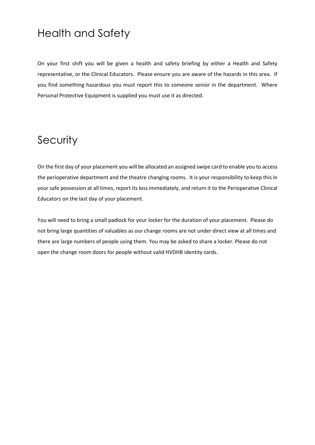#### Health and Safety

On your first shift you will be given a health and safety briefing by either a Health and Safety representative, or the Clinical Educators. Please ensure you are aware of the hazards in this area. If you find something hazardous you must report this to someone senior in the department. Where Personal Protective Equipment is supplied you must use it as directed.

#### **Security**

On the first day of your placement you will be allocated an assigned swipe card to enable you to access the perioperative department and the theatre changing rooms. It is your responsibility to keep this in your safe possession at all times, report its loss immediately, and return it to the Perioperative Clinical Educators on the last day of your placement.

You will need to bring a small padlock for your locker for the duration of your placement. Please do not bring large quantities of valuables as our change rooms are not under direct view at all times and there are large numbers of people using them. You may be asked to share a locker. Please do not open the change room doors for people without valid HVDHB identity cards.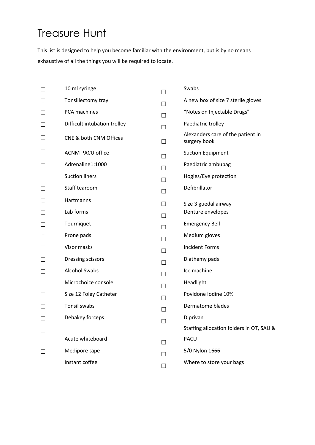## Treasure Hunt

This list is designed to help you become familiar with the environment, but is by no means exhaustive of all the things you will be required to locate.

|                             | 10 ml syringe                | $\mathsf{L}$ | Swabs                                             |
|-----------------------------|------------------------------|--------------|---------------------------------------------------|
| $\Box$                      | Tonsillectomy tray           |              | A new box of size 7 sterile gloves                |
| $\Box$                      | PCA machines                 | $\perp$      | "Notes on Injectable Drugs"                       |
| $\Box$                      | Difficult intubation trolley | П            | Paediatric trolley                                |
| $\sqcup$                    | CNE & both CNM Offices       | П            | Alexanders care of the patient in<br>surgery book |
| $\Box$                      | <b>ACNM PACU office</b>      | Ш            | <b>Suction Equipment</b>                          |
| $\Box$                      | Adrenaline1:1000             | $\perp$      | Paediatric ambubag                                |
| $\Box$                      | <b>Suction liners</b>        | $\Box$       | Hogies/Eye protection                             |
| $\Box$                      | Staff tearoom                | $\perp$      | Defibrillator                                     |
| $\Box$                      | Hartmanns                    | $\perp$      | Size 3 guedal airway                              |
| $\Box$                      | Lab forms                    | $\perp$      | Denture envelopes                                 |
| $\Box$                      | Tourniquet                   | $\perp$      | <b>Emergency Bell</b>                             |
| $\Box$                      | Prone pads                   | $\perp$      | Medium gloves                                     |
|                             | Visor masks                  | $\Box$       | <b>Incident Forms</b>                             |
|                             | Dressing scissors            | $\perp$      | Diathemy pads                                     |
| $\Box$                      | <b>Alcohol Swabs</b>         | $\Box$       | Ice machine                                       |
|                             | Microchoice console          | $\Box$       | Headlight                                         |
| $\Box$                      | Size 12 Foley Catheter       |              | Povidone Iodine 10%                               |
| $\Box$                      | Tonsil swabs                 |              | Dermatome blades                                  |
|                             | Debakey forceps              |              | Diprivan                                          |
|                             |                              |              | Staffing allocation folders in OT, SAU &          |
|                             | Acute whiteboard             | $\Box$       | <b>PACU</b>                                       |
|                             | Medipore tape                |              | 5/0 Nylon 1666                                    |
| $\mathcal{L}_{\mathcal{A}}$ | Instant coffee               |              | Where to store your bags                          |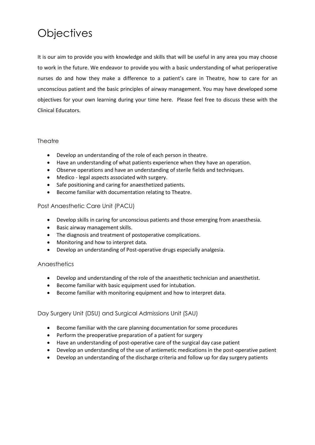## **Objectives**

It is our aim to provide you with knowledge and skills that will be useful in any area you may choose to work in the future. We endeavor to provide you with a basic understanding of what perioperative nurses do and how they make a difference to a patient's care in Theatre, how to care for an unconscious patient and the basic principles of airway management. You may have developed some objectives for your own learning during your time here. Please feel free to discuss these with the Clinical Educators.

#### **Theatre**

- Develop an understanding of the role of each person in theatre.
- Have an understanding of what patients experience when they have an operation.
- Observe operations and have an understanding of sterile fields and techniques.
- Medico legal aspects associated with surgery.
- Safe positioning and caring for anaesthetized patients.
- Become familiar with documentation relating to Theatre.

#### Post Anaesthetic Care Unit (PACU)

- Develop skills in caring for unconscious patients and those emerging from anaesthesia.
- Basic airway management skills.
- The diagnosis and treatment of postoperative complications.
- Monitoring and how to interpret data.
- Develop an understanding of Post-operative drugs especially analgesia.

#### **Anaesthetics**

- Develop and understanding of the role of the anaesthetic technician and anaesthetist.
- Become familiar with basic equipment used for intubation.
- Become familiar with monitoring equipment and how to interpret data.

#### Day Surgery Unit (DSU) and Surgical Admissions Unit (SAU)

- Become familiar with the care planning documentation for some procedures
- Perform the preoperative preparation of a patient for surgery
- Have an understanding of post-operative care of the surgical day case patient
- Develop an understanding of the use of antiemetic medications in the post-operative patient
- Develop an understanding of the discharge criteria and follow up for day surgery patients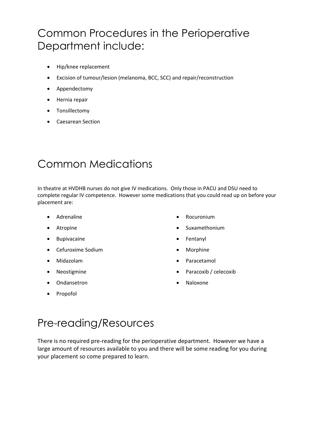## Common Procedures in the Perioperative Department include:

- Hip/knee replacement
- Excision of tumour/lesion (melanoma, BCC, SCC) and repair/reconstruction
- Appendectomy
- Hernia repair
- Tonsillectomy
- Caesarean Section

### Common Medications

In theatre at HVDHB nurses do not give IV medications. Only those in PACU and DSU need to complete regular IV competence. However some medications that you could read up on before your placement are:

- Adrenaline
- Atropine
- **•** Bupivacaine
- Cefuroxime Sodium
- Midazolam
- Neostigmine
- Ondansetron
- Propofol
- Rocuronium
- Suxamethonium
- Fentanyl
- Morphine
- Paracetamol
- Paracoxib / celecoxib
- Naloxone

#### Pre-reading/Resources

There is no required pre-reading for the perioperative department. However we have a large amount of resources available to you and there will be some reading for you during your placement so come prepared to learn.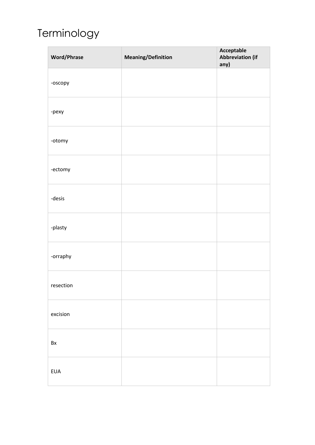## Terminology

| <b>Word/Phrase</b> | <b>Meaning/Definition</b> | Acceptable<br><b>Abbreviation (if</b><br>any) |
|--------------------|---------------------------|-----------------------------------------------|
| -oscopy            |                           |                                               |
| -pexy              |                           |                                               |
| -otomy             |                           |                                               |
| -ectomy            |                           |                                               |
| -desis             |                           |                                               |
| -plasty            |                           |                                               |
| -orraphy           |                           |                                               |
| resection          |                           |                                               |
| excision           |                           |                                               |
| Bx                 |                           |                                               |
| <b>EUA</b>         |                           |                                               |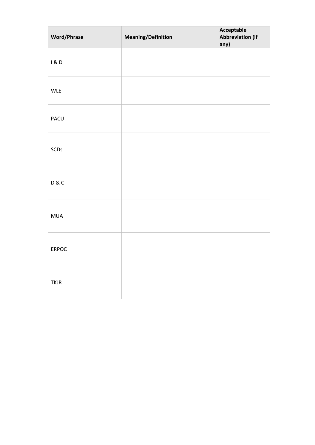| <b>Word/Phrase</b> | <b>Meaning/Definition</b> | Acceptable<br><b>Abbreviation (if</b><br>any) |
|--------------------|---------------------------|-----------------------------------------------|
| 1&0                |                           |                                               |
| <b>WLE</b>         |                           |                                               |
| PACU               |                           |                                               |
| SCDs               |                           |                                               |
| D & C              |                           |                                               |
| <b>MUA</b>         |                           |                                               |
| ERPOC              |                           |                                               |
| <b>TKJR</b>        |                           |                                               |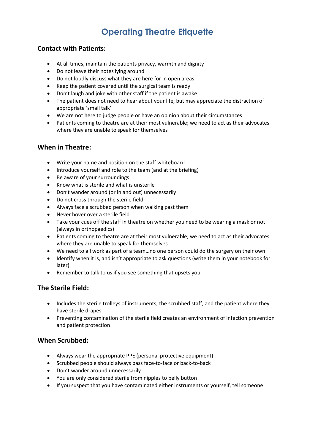#### **Operating Theatre Etiquette**

#### **Contact with Patients:**

- At all times, maintain the patients privacy, warmth and dignity
- Do not leave their notes lying around
- Do not loudly discuss what they are here for in open areas
- Keep the patient covered until the surgical team is ready
- Don't laugh and joke with other staff if the patient is awake
- The patient does not need to hear about your life, but may appreciate the distraction of appropriate 'small talk'
- We are not here to judge people or have an opinion about their circumstances
- Patients coming to theatre are at their most vulnerable; we need to act as their advocates where they are unable to speak for themselves

#### **When in Theatre:**

- Write your name and position on the staff whiteboard
- Introduce yourself and role to the team (and at the briefing)
- Be aware of your surroundings
- Know what is sterile and what is unsterile
- Don't wander around (or in and out) unnecessarily
- Do not cross through the sterile field
- Always face a scrubbed person when walking past them
- Never hover over a sterile field
- Take your cues off the staff in theatre on whether you need to be wearing a mask or not (always in orthopaedics)
- Patients coming to theatre are at their most vulnerable; we need to act as their advocates where they are unable to speak for themselves
- We need to all work as part of a team…no one person could do the surgery on their own
- Identify when it is, and isn't appropriate to ask questions (write them in your notebook for later)
- Remember to talk to us if you see something that upsets you

#### **The Sterile Field:**

- Includes the sterile trolleys of instruments, the scrubbed staff, and the patient where they have sterile drapes
- Preventing contamination of the sterile field creates an environment of infection prevention and patient protection

#### **When Scrubbed:**

- Always wear the appropriate PPE (personal protective equipment)
- Scrubbed people should always pass face-to-face or back-to-back
- Don't wander around unnecessarily
- You are only considered sterile from nipples to belly button
- If you suspect that you have contaminated either instruments or yourself, tell someone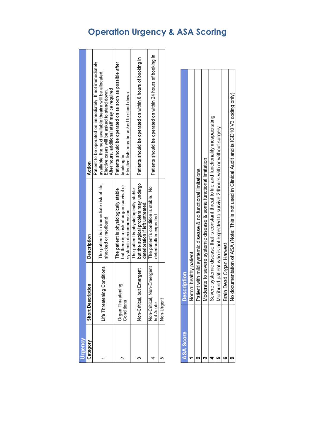| Urgency          |                                         |                                                                                                                   |                                                                                                                                                                                                                       |
|------------------|-----------------------------------------|-------------------------------------------------------------------------------------------------------------------|-----------------------------------------------------------------------------------------------------------------------------------------------------------------------------------------------------------------------|
| Category         | Short Description                       | Description                                                                                                       | Action                                                                                                                                                                                                                |
|                  | Life Threatening Conditions             | The patient is in immediate risk of life,<br>shocked or moribund                                                  | Patient to be operated on immediately. If not immediately<br>available, the next available theatre will be allocated.<br>After hours, additional staff may be required<br>Elective cases will be asked to stand down. |
| 2                | Organ Threatening<br>Conditions         | but there is a risk of organ survival or<br>The patient is physiologically stable<br>systemic decompression       | Patients should be operated on as soon as possible after<br>Elective lists may be asked to stand down<br>booking in.                                                                                                  |
| 3                | Non-Critical, but Emergent              | but the surgical problem may undergo<br>The patient is physiologically stable<br>deterioration if left untreated. | Patients should be operated on within 8 hours of booking in                                                                                                                                                           |
| 4                | Non-Critical, Non-Emergent<br>but Acute | The patient's condition is stable. No<br>deterioration expected                                                   | Patients should be operated on within 24 hours of booking in                                                                                                                                                          |
| 5                | Non-Urgent                              |                                                                                                                   |                                                                                                                                                                                                                       |
|                  |                                         |                                                                                                                   |                                                                                                                                                                                                                       |
| <b>ASA Score</b> | ption<br>Descri                         |                                                                                                                   |                                                                                                                                                                                                                       |
|                  | healthy patient<br>Normal               |                                                                                                                   |                                                                                                                                                                                                                       |
|                  | Patient                                 | with mild systemic disease & no functional limitations                                                            |                                                                                                                                                                                                                       |
|                  |                                         | Moderate to severe systemic disease & some functional limitation                                                  |                                                                                                                                                                                                                       |
| d                | Severe                                  | systemic disease that is constant threat to life and functionality incapacitating                                 |                                                                                                                                                                                                                       |
| ဂ                |                                         | Moribund patient who is not expected to survive 24hours with or without surgery                                   |                                                                                                                                                                                                                       |
| ဖ                | ead Organ Harvest<br>Brain D            |                                                                                                                   |                                                                                                                                                                                                                       |
| თ                |                                         |                                                                                                                   | No documentation of ASA (Note: This is not used in Clinical Audit and is ICD10 V3 coding only)                                                                                                                        |
|                  |                                         |                                                                                                                   |                                                                                                                                                                                                                       |

| <b>Description</b>                                                                             |
|------------------------------------------------------------------------------------------------|
| Normal healthy patient                                                                         |
| Patient with mild systemic disease & no functional limitations                                 |
| Moderate to severe systemic disease & some functional limitation                               |
| Severe systemic disease that is constant threat to life and functionality incapacitating       |
| Moribund patient who is not expected to survive 24 hours with or without surgery               |
| Brain Dead Organ Harvest                                                                       |
| No documentation of ASA (Note: This is not used in Clinical Audit and is ICD10 V3 coding only) |
|                                                                                                |

#### **Operation Urgency & ASA Scoring**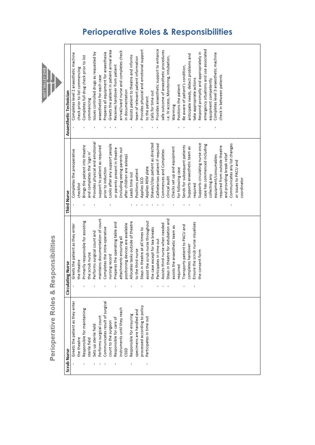Perioperative Roles & Responsibilities

HUTT VALLEY DHB



#### **Perioperative Roles & Responsibilities**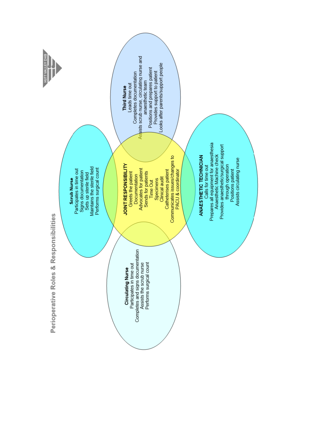